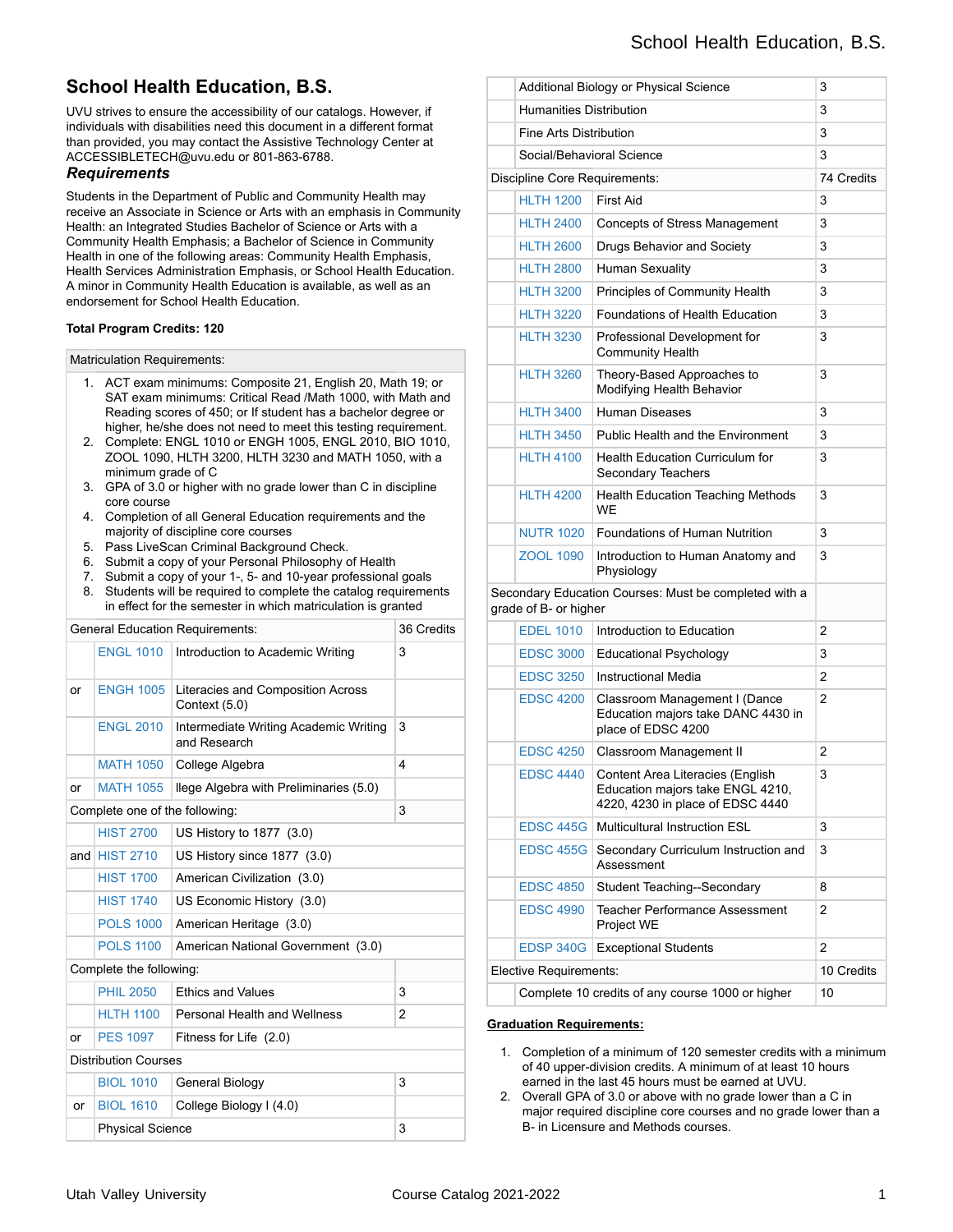# **School Health Education, B.S.**

UVU strives to ensure the accessibility of our catalogs. However, if individuals with disabilities need this document in a different format than provided, you may contact the Assistive Technology Center at ACCESSIBLETECH@uvu.edu or 801-863-6788.

### *Requirements*

Students in the Department of Public and Community Health may receive an Associate in Science or Arts with an emphasis in Community Health: an Integrated Studies Bachelor of Science or Arts with a Community Health Emphasis; a Bachelor of Science in Community Health in one of the following areas: Community Health Emphasis, Health Services Administration Emphasis, or School Health Education. A minor in Community Health Education is available, as well as an endorsement for School Health Education.

#### **Total Program Credits: 120**

#### Matriculation Requirements:

- 1. ACT exam minimums: Composite 21, English 20, Math 19; or SAT exam minimums: Critical Read /Math 1000, with Math and Reading scores of 450; or If student has a bachelor degree or higher, he/she does not need to meet this testing requirement.
- 2. Complete: ENGL 1010 or ENGH 1005, ENGL 2010, BIO 1010, ZOOL 1090, HLTH 3200, HLTH 3230 and MATH 1050, with a minimum grade of C
- 3. GPA of 3.0 or higher with no grade lower than C in discipline core course
- 4. Completion of all General Education requirements and the majority of discipline core courses
- 5. Pass LiveScan Criminal Background Check.
- 6. Submit a copy of your Personal Philosophy of Health
- 7. Submit a copy of your 1-, 5- and 10-year professional goals 8. Students will be required to complete the catalog requirements

|                             |                                | in effect for the semester in which matriculation is granted |                         |  |
|-----------------------------|--------------------------------|--------------------------------------------------------------|-------------------------|--|
|                             |                                | <b>General Education Requirements:</b>                       | 36 Credits              |  |
|                             | <b>ENGL 1010</b>               | Introduction to Academic Writing                             | 3                       |  |
| or                          | <b>ENGH 1005</b>               | Literacies and Composition Across<br>Context (5.0)           |                         |  |
|                             | <b>ENGL 2010</b>               | Intermediate Writing Academic Writing<br>and Research        | 3                       |  |
|                             | <b>MATH 1050</b>               | College Algebra                                              | $\overline{\mathbf{4}}$ |  |
| or                          | <b>MATH 1055</b>               | Ilege Algebra with Preliminaries (5.0)                       |                         |  |
|                             | Complete one of the following: |                                                              | 3                       |  |
|                             | <b>HIST 2700</b>               | US History to 1877 (3.0)                                     |                         |  |
|                             | and $HIST 2710$                | US History since 1877 (3.0)                                  |                         |  |
|                             | <b>HIST 1700</b>               | American Civilization (3.0)                                  |                         |  |
|                             | <b>HIST 1740</b>               | US Economic History (3.0)                                    |                         |  |
|                             | <b>POLS 1000</b>               | American Heritage (3.0)                                      |                         |  |
|                             | <b>POLS 1100</b>               | American National Government (3.0)                           |                         |  |
| Complete the following:     |                                |                                                              |                         |  |
|                             | <b>PHIL 2050</b>               | <b>Ethics and Values</b>                                     | 3                       |  |
|                             | <b>HLTH 1100</b>               | <b>Personal Health and Wellness</b>                          | $\overline{2}$          |  |
| or                          | <b>PES 1097</b>                | Fitness for Life (2.0)                                       |                         |  |
| <b>Distribution Courses</b> |                                |                                                              |                         |  |
|                             | <b>BIOL 1010</b>               | General Biology                                              | 3                       |  |
| or                          | <b>BIOL 1610</b>               | College Biology I (4.0)                                      |                         |  |
|                             | <b>Physical Science</b>        |                                                              | 3                       |  |

|                                                                                | Additional Biology or Physical Science | 3                                                                                                                  |    |
|--------------------------------------------------------------------------------|----------------------------------------|--------------------------------------------------------------------------------------------------------------------|----|
|                                                                                | <b>Humanities Distribution</b>         | 3                                                                                                                  |    |
|                                                                                | <b>Fine Arts Distribution</b>          | 3                                                                                                                  |    |
|                                                                                | Social/Behavioral Science              | 3                                                                                                                  |    |
| Discipline Core Requirements:                                                  | 74 Credits                             |                                                                                                                    |    |
|                                                                                | <b>HLTH 1200</b>                       | <b>First Aid</b>                                                                                                   | 3  |
|                                                                                | <b>HLTH 2400</b>                       | Concepts of Stress Management                                                                                      | 3  |
|                                                                                | <b>HLTH 2600</b>                       | Drugs Behavior and Society                                                                                         | 3  |
|                                                                                | <b>HLTH 2800</b>                       | <b>Human Sexuality</b>                                                                                             | 3  |
|                                                                                | <b>HLTH 3200</b>                       | Principles of Community Health                                                                                     | 3  |
|                                                                                | <b>HLTH 3220</b>                       | Foundations of Health Education                                                                                    | 3  |
|                                                                                | <b>HLTH 3230</b>                       | Professional Development for<br><b>Community Health</b>                                                            | 3  |
|                                                                                | <b>HLTH 3260</b>                       | Theory-Based Approaches to<br>Modifying Health Behavior                                                            | 3  |
|                                                                                | <b>HLTH 3400</b>                       | <b>Human Diseases</b>                                                                                              | 3  |
|                                                                                | <b>HLTH 3450</b>                       | Public Health and the Environment                                                                                  | 3  |
|                                                                                | <b>HLTH 4100</b>                       | <b>Health Education Curriculum for</b><br>Secondary Teachers                                                       | 3  |
|                                                                                | <b>HLTH 4200</b>                       | <b>Health Education Teaching Methods</b><br><b>WF</b>                                                              | 3  |
|                                                                                | <b>NUTR 1020</b>                       | Foundations of Human Nutrition                                                                                     | 3  |
|                                                                                | <b>ZOOL 1090</b>                       | Introduction to Human Anatomy and<br>Physiology                                                                    | 3  |
| Secondary Education Courses: Must be completed with a<br>grade of B- or higher |                                        |                                                                                                                    |    |
|                                                                                | <b>EDEL 1010</b>                       | Introduction to Education                                                                                          | 2  |
|                                                                                | <b>EDSC 3000</b>                       | <b>Educational Psychology</b>                                                                                      | 3  |
|                                                                                | <b>EDSC 3250</b>                       | <b>Instructional Media</b>                                                                                         | 2  |
|                                                                                | <b>EDSC 4200</b>                       | Classroom Management I (Dance<br>Education majors take DANC 4430 in<br>place of EDSC 4200                          | 2  |
|                                                                                | <b>EDSC 4250</b>                       | Classroom Management II                                                                                            | 2  |
|                                                                                |                                        | EDSC 4440 Content Area Literacies (English<br>Education majors take ENGL 4210,<br>4220, 4230 in place of EDSC 4440 | 3  |
|                                                                                | <b>EDSC 445G</b>                       | <b>Multicultural Instruction ESL</b>                                                                               | 3  |
|                                                                                | <b>EDSC 455G</b>                       | Secondary Curriculum Instruction and<br>Assessment                                                                 | 3  |
|                                                                                | <b>EDSC 4850</b>                       | Student Teaching--Secondary                                                                                        | 8  |
|                                                                                | <b>EDSC 4990</b>                       | <b>Teacher Performance Assessment</b><br>Project WE                                                                | 2  |
|                                                                                | <b>EDSP 340G</b>                       | <b>Exceptional Students</b>                                                                                        | 2  |
| Elective Requirements:                                                         | 10 Credits                             |                                                                                                                    |    |
| Complete 10 credits of any course 1000 or higher                               |                                        |                                                                                                                    | 10 |

#### **Graduation Requirements:**

- 1. Completion of a minimum of 120 semester credits with a minimum of 40 upper-division credits. A minimum of at least 10 hours earned in the last 45 hours must be earned at UVU.
- 2. Overall GPA of 3.0 or above with no grade lower than a C in major required discipline core courses and no grade lower than a B- in Licensure and Methods courses.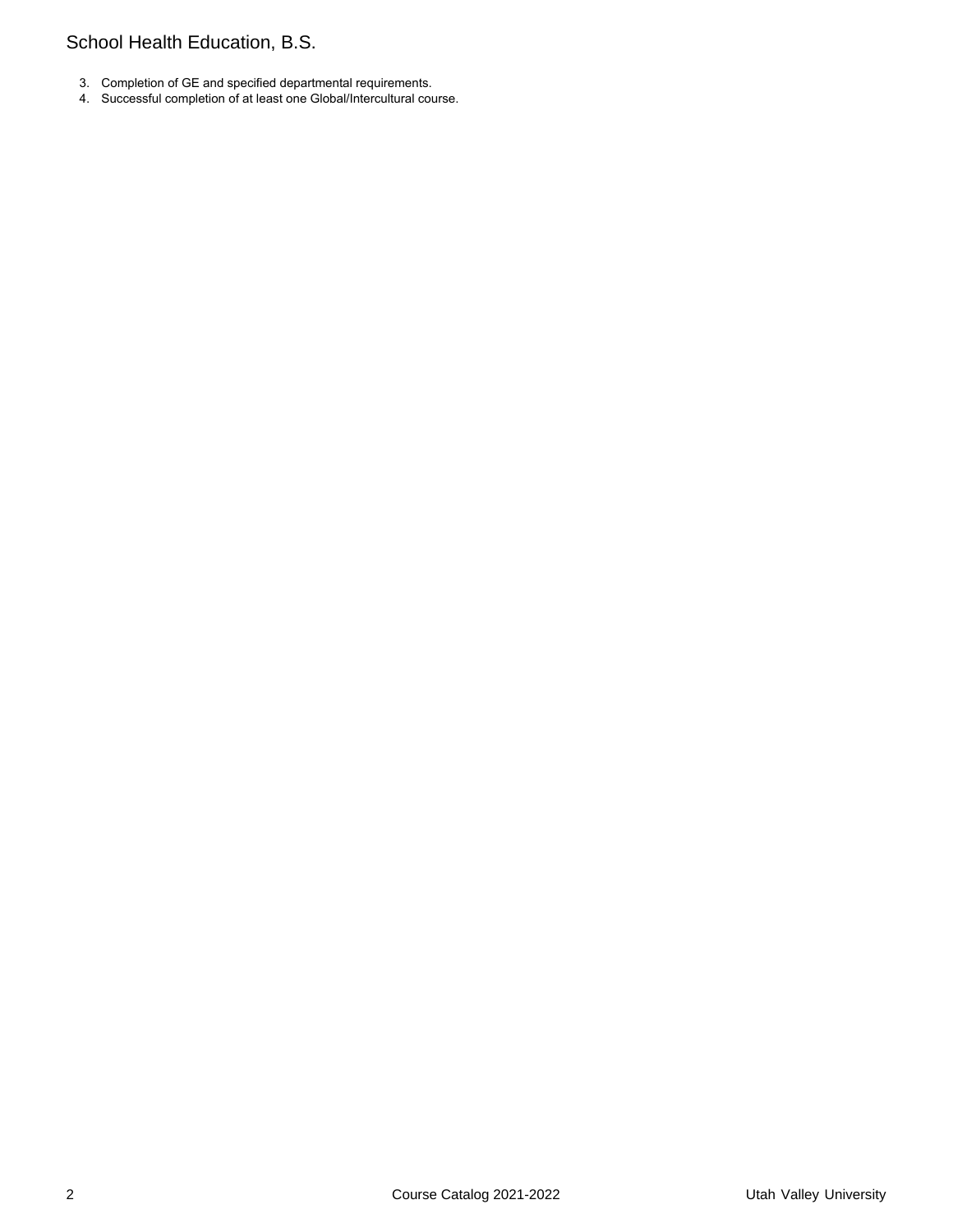## School Health Education, B.S.

- 3. Completion of GE and specified departmental requirements.
- 4. Successful completion of at least one Global/Intercultural course.